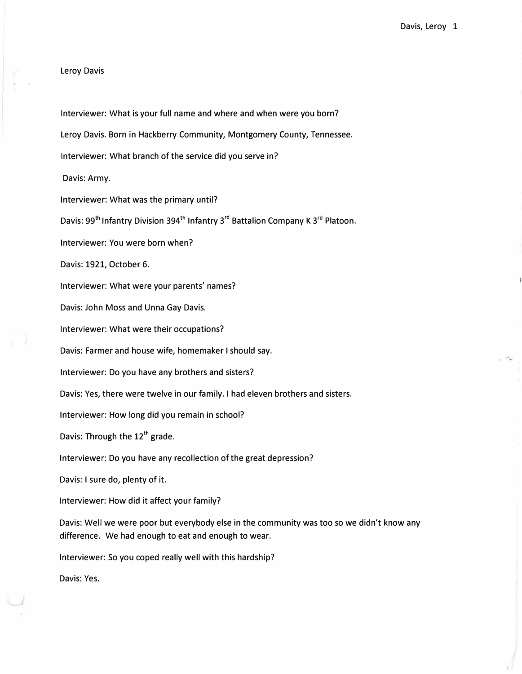Leroy Davis

Interviewer: What is your full name and where and when were you born? Leroy Davis. Born in Hackberry Community, Montgomery County, Tennessee. Interviewer: What branch of the service did you serve in? Davis: Army. Interviewer: What was the primary until? Davis: 99<sup>th</sup> Infantry Division 394<sup>th</sup> Infantry 3<sup>rd</sup> Battalion Company K 3<sup>rd</sup> Platoon. Interviewer: You were born when? Davis: 1921, October 6. Interviewer: What were your parents' names? Davis: John Moss and Unna Gay Davis. Interviewer: What were their occupations? Davis: Farmer and house wife, homemaker I should say. Interviewer: Do you have any brothers and sisters? Davis: Yes, there were twelve in our family. I had eleven brothers and sisters. Interviewer: How long did you remain in school? Davis: Through the 12<sup>th</sup> grade. Interviewer: Do you have any recollection of the great depression? Davis: I sure do, plenty of it. Interviewer: How did it affect your family? Davis: Well we were poor but everybody else in the community was too so we didn't know any difference. We had enough to eat and enough to wear. Interviewer: So you coped really well with this hardship? Davis: Yes.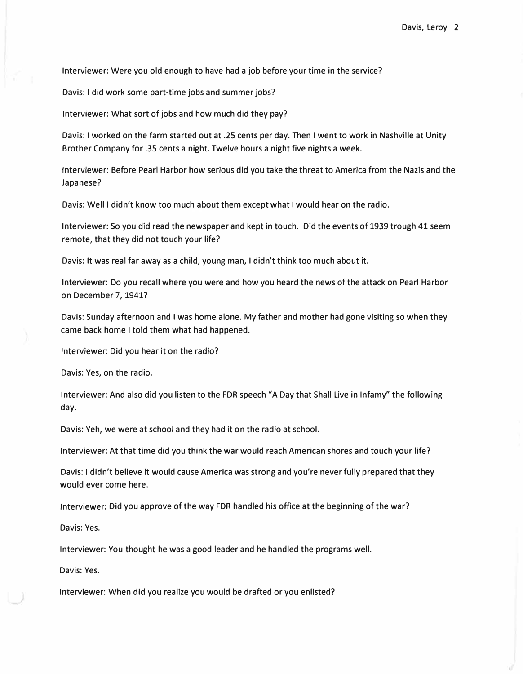Interviewer: Were you old enough to have had a job before your time in the service?

Davis: I did work some part-time jobs and summer jobs?

Interviewer: What sort of jobs and how much did they pay?

Davis: I worked on the farm started out at .25 cents per day. Then I went to work in Nashville at Unity Brother Company for .35 cents a night. Twelve hours a night five nights a week.

Interviewer: Before Pearl Harbor how serious did you take the threat to America from the Nazis and the Japanese?

Davis: Well I didn't know too much about them except what I would hear on the radio.

Interviewer: So you did read the newspaper and kept in touch. Did the events of 1939 trough 41 seem remote, that they did not touch your life?

Davis: It was real far away as a child, young man, I didn't think too much about it.

Interviewer: Do you recall where you were and how you heard the news of the attack on Pearl Harbor on December 7, 1941?

Davis: Sunday afternoon and I was home alone. My father and mother had gone visiting so when they came back home I told them what had happened.

Interviewer: Did you hear it on the radio?

Davis: Yes, on the radio.

Interviewer: And also did you listen to the FDR speech "A Day that Shall Live in Infamy" the following day.

Davis: Yeh, we were at school and they had it on the radio at school.

Interviewer: At that time did you think the war would reach American shores and touch your life?

Davis: I didn't believe it would cause America was strong and you're never fully prepared that they would ever come here.

Interviewer: Did you approve of the way FDR handled his office at the beginning of the war?

Davis: Yes.

Interviewer: You thought he was a good leader and he handled the programs well.

Davis: Yes.

Interviewer: When did you realize you would be drafted or you enlisted?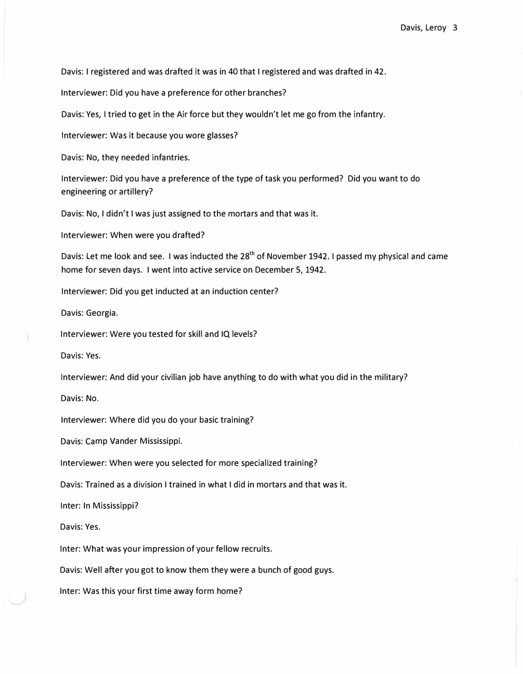Davis: I registered and was drafted it was in 40 that I registered and was drafted in 42.

Interviewer: Did you have a preference for other branches?

Davis: Yes, I tried to get in the Air force but they wouldn't let me go from the infantry.

Interviewer: Was it because you wore glasses?

Davis: No, they needed infantries.

Interviewer: Did you have a preference of the type of task you performed? Did you want to do engineering or artillery?

Davis: No, I didn't I was just assigned to the mortars and that was it.

Interviewer: When were you drafted?

Davis: Let me look and see. I was inducted the 28<sup>th</sup> of November 1942. I passed my physical and came home for seven days. I went into active service on December 5, 1942.

Interviewer: Did you get inducted at an induction center?

Davis: Georgia.

Interviewer: Were you tested for skill and IQ levels?

Davis: Yes.

Interviewer: And did your civilian job have anything to do with what you did in the military?

Davis: No.

Interviewer: Where did you do your basic training?

Davis: Camp Vander Mississippi.

Interviewer: When were you selected for more specialized training?

Davis: Trained as a division I trained in what I did in mortars and that was it.

Inter: In Mississippi?

Davis: Yes.

Inter: What was your impression of your fellow recruits.

Davis: Well after you got to know them they were a bunch of good guys.

Inter: Was this your first time away form home?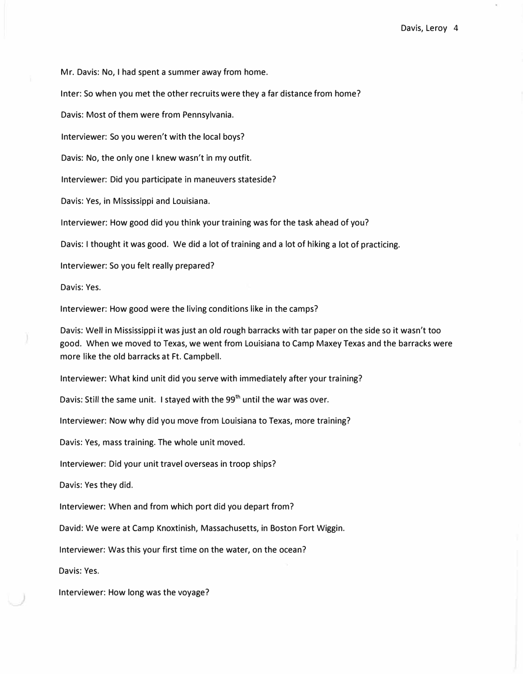Mr. Davis: No, I had spent a summer away from home.

Inter: So when you met the other recruits were they a far distance from home?

Davis: Most of them were from Pennsylvania.

Interviewer: So you weren't with the local boys?

Davis: No, the only one I knew wasn't in my outfit.

Interviewer: Did you participate in maneuvers stateside?

Davis: Yes, in Mississippi and Louisiana.

Interviewer: How good did you think your training was for the task ahead of you?

Davis: I thought it was good. We did a lot of training and a lot of hiking a lot of practicing.

Interviewer: So you felt really prepared?

Davis: Yes.

Interviewer: How good were the living conditions like in the camps?

Davis: Well in Mississippi it was just an old rough barracks with tar paper on the side so it wasn't too good. When we moved to Texas, we went from Louisiana to Camp Maxey Texas and the barracks were more like the old barracks at Ft. Campbell.

Interviewer: What kind unit did you serve with immediately after your training?

Davis: Still the same unit. I stayed with the  $99<sup>th</sup>$  until the war was over.

Interviewer: Now why did you move from Louisiana to Texas, more training?

Davis: Yes, mass training. The whole unit moved.

Interviewer: Did your unit travel overseas in troop ships?

Davis: Yes they did.

Interviewer: When and from which port did you depart from?

David: We were at Camp Knoxtinish, Massachusetts, in Boston Fort Wiggin.

Interviewer: Was this your first time on the water, on the ocean?

Davis: Yes.

Interviewer: How long was the voyage?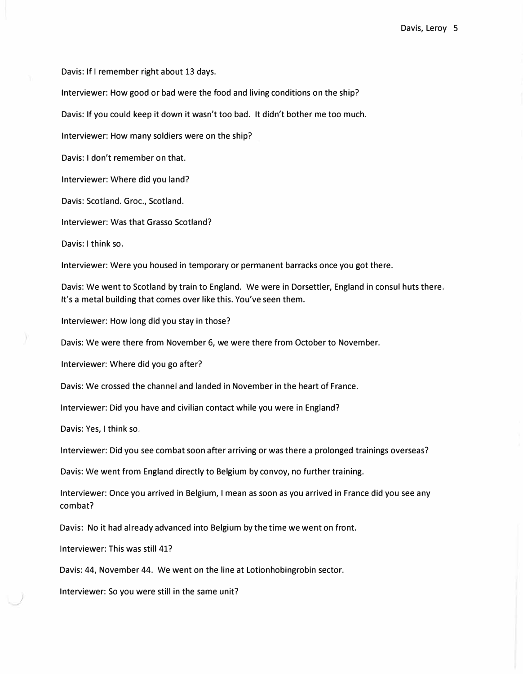Davis: If I remember right about 13 days. Interviewer: How good or bad were the food and living conditions on the ship? Davis: If you could keep it down it wasn't too bad. It didn't bother me too much. Interviewer: How many soldiers were on the ship? Davis: I don't remember on that. Interviewer: Where did you land? Davis: Scotland. Groc., Scotland. Interviewer: Was that Grasso Scotland? Davis: I think so. Interviewer: Were you housed in temporary or permanent barracks once you got there.

Davis: We went to Scotland by train to England. We were in Dorsettler, England in consul huts there. It's a metal building that comes over like this. You've seen them.

Interviewer: How long did you stay in those?

Davis: We were there from November 6, we were there from October to November.

Interviewer: Where did you go after?

Davis: We crossed the channel and landed in November in the heart of France.

Interviewer: Did you have and civilian contact while you were in England?

Davis: Yes, I think so.

Interviewer: Did you see combat soon after arriving or was there a prolonged trainings overseas?

Davis: We went from England directly to Belgium by convoy, no further training.

Interviewer: Once you arrived in Belgium, I mean as soon as you arrived in France did you see any combat?

Davis: No it had already advanced into Belgium by the time we went on front.

Interviewer: This was still 41?

*)* 

Davis: 44, November 44. We went on the line at Lotionhobingrobin sector.

Interviewer: So you were still in the same unit?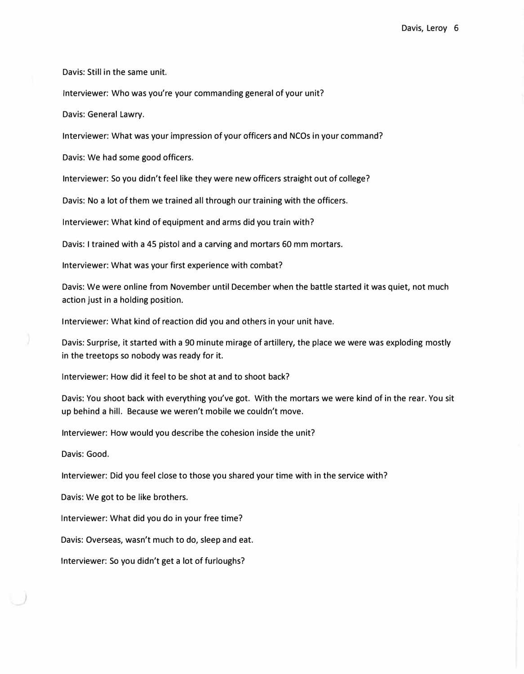Davis: Still in the same unit.

Interviewer: Who was you're your commanding general of your unit?

Davis: General Lawry.

Interviewer: What was your impression of your officers and NCOs in your command?

Davis: We had some good officers.

Interviewer: So you didn't feel like they were new officers straight out of college?

Davis: No a lot of them we trained all through our training with the officers.

Interviewer: What kind of equipment and arms did you train with?

Davis: I trained with a 45 pistol and a carving and mortars 60 mm mortars.

Interviewer: What was your first experience with combat?

Davis: We were online from November until December when the battle started it was quiet, not much action just in a holding position.

Interviewer: What kind of reaction did you and others in your unit have.

Davis: Surprise, it started with a 90 minute mirage of artillery, the place we were was exploding mostly in the treetops so nobody was ready for it.

Interviewer: How did it feel to be shot at and to shoot back?

Davis: You shoot back with everything you've got. With the mortars we were kind of in the rear. You sit up behind a hill. Because we weren't mobile we couldn't move.

Interviewer: How would you describe the cohesion inside the unit?

Davis: Good.

Interviewer: Did you feel close to those you shared your time with in the service with?

Davis: We got to be like brothers.

Interviewer: What did you do in your free time?

Davis: Overseas, wasn't much to do, sleep and eat.

Interviewer: So you didn't get a lot of furloughs?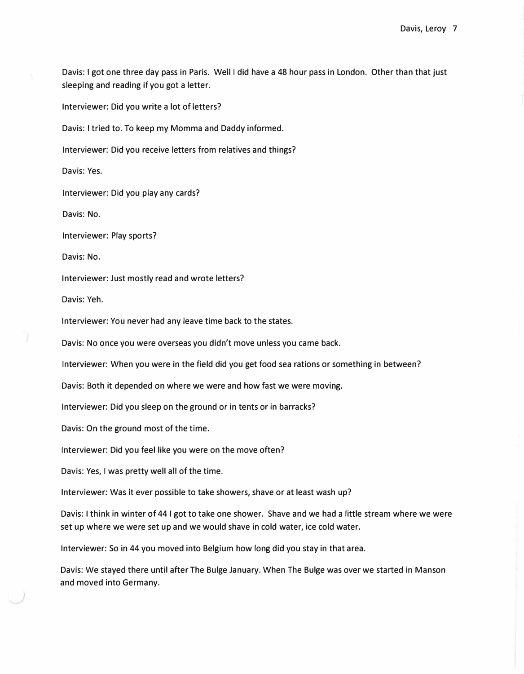Davis: I got one three day pass in Paris. Well I did have a 48 hour pass in London. Other than that just sleeping and reading if you got a letter.

Interviewer: Did you write a lot of letters?

Davis: I tried to. To keep my Momma and Daddy informed.

Interviewer: Did you receive letters from relatives and things?

Davis: Yes.

Interviewer: Did you play any cards?

Davis: No.

Interviewer: Play sports?

Davis: No.

Interviewer: Just mostly read and wrote letters?

Davis: Yeh.

Interviewer: You never had any leave time back to the states.

Davis: No once you were overseas you didn't move unless you came back.

Interviewer: When you were in the field did you get food sea rations or something in between?

Davis: Both it depended on where we were and how fast we were moving.

Interviewer: Did you sleep on the ground or in tents or in barracks?

Davis: On the ground most of the time.

Interviewer: Did you feel like you were on the move often?

Davis: Yes, I was pretty well all of the time.

Interviewer: Was it ever possible to take showers, shave or at least wash up?

Davis: I think in winter of 44 I got to take one shower. Shave and we had a little stream where we were set up where we were set up and we would shave in cold water, ice cold water.

Interviewer: So in 44 you moved into Belgium how long did you stay in that area.

Davis: We stayed there until after The Bulge January. When The Bulge was over we started in Manson and moved into Germany.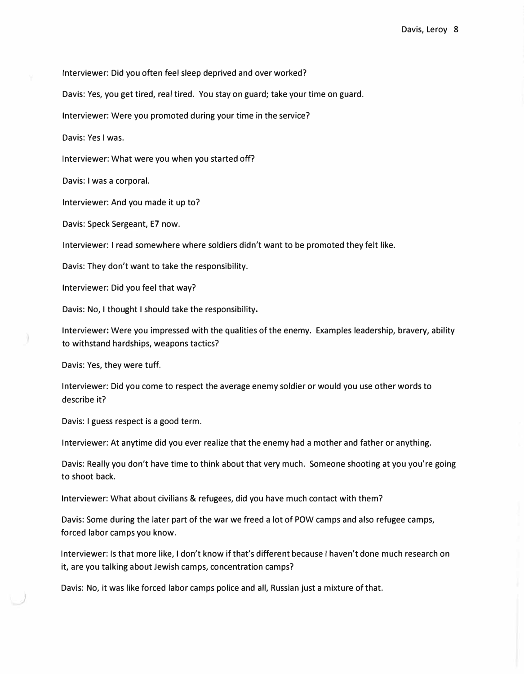Interviewer: Did you often feel sleep deprived and over worked?

Davis: Yes, you get tired, real tired. You stay on guard; take your time on guard.

Interviewer: Were you promoted during your time in the service?

Davis: Yes I was.

Interviewer: What were you when you started *off?* 

Davis: I was a corporal.

Interviewer: And you made it up to?

Davis: Speck Sergeant, E7 now.

Interviewer: I read somewhere where soldiers didn't want to be promoted they felt like.

Davis: They don't want to take the responsibility.

Interviewer: Did you feel that way?

Davis: No, I thought I should take the responsibility.

Interviewer: Were you impressed with the qualities of the enemy. Examples leadership, bravery, ability to withstand hardships, weapons tactics?

Davis: Yes, they were tuff.

Interviewer: Did you come to respect the average enemy soldier or would you use other words to describe it?

Davis: I guess respect is a good term.

Interviewer: At anytime did you ever realize that the enemy had a mother and father or anything.

Davis: Really you don't have time to think about that very much. Someone shooting at you you're going to shoot back.

Interviewer: What about civilians & refugees, did you have much contact with them?

Davis: Some during the later part of the war we freed a lot of POW camps and also refugee camps, forced labor camps you know.

Interviewer: Is that more like, I don't know if that's different because I haven't done much research on it, are you talking about Jewish camps, concentration camps?

Davis: No, it was like forced labor camps police and all, Russian just a mixture of that.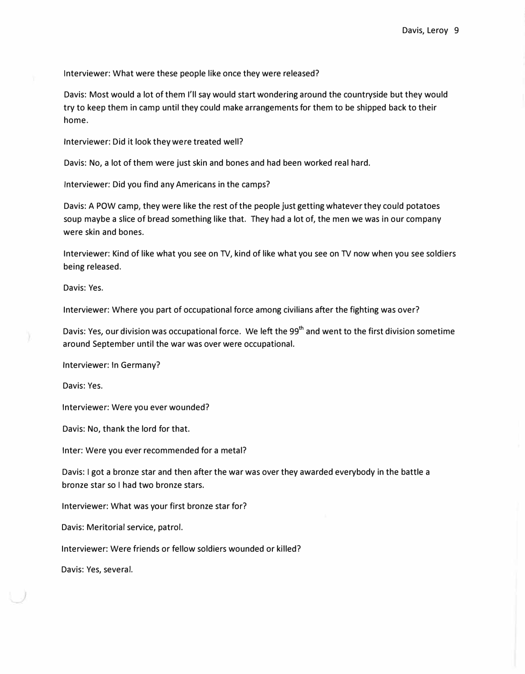Interviewer: What were these people like once they were released?

Davis: Most would a lot of them I'll say would start wondering around the countryside but they would try to keep them in camp until they could make arrangements for them to be shipped back to their home.

Interviewer: Did it look they were treated well?

Davis: No, a lot of them were just skin and bones and had been worked real hard.

Interviewer: Did you find any Americans in the camps?

Davis: A POW camp, they were like the rest of the people just getting whatever they could potatoes soup maybe a slice of bread something like that. They had a lot of, the men we was in our company were skin and bones.

Interviewer: Kind of like what you see on TV, kind of like what you see on TV now when you see soldiers being released.

Davis: Yes.

Interviewer: Where you part of occupational force among civilians after the fighting was over?

Davis: Yes, our division was occupational force. We left the 99<sup>th</sup> and went to the first division sometime around September until the war was over were occupational.

Interviewer: In Germany?

Davis: Yes.

Interviewer: Were you ever wounded?

Davis: No, thank the lord for that.

Inter: Were you ever recommended for a metal?

Davis: I got a bronze star and then after the war was over they awarded everybody in the battle a bronze star so I had two bronze stars.

Interviewer: What was your first bronze star for?

Davis: Meritorial service, patrol.

Interviewer: Were friends or fellow soldiers wounded or killed?

Davis: Yes, several.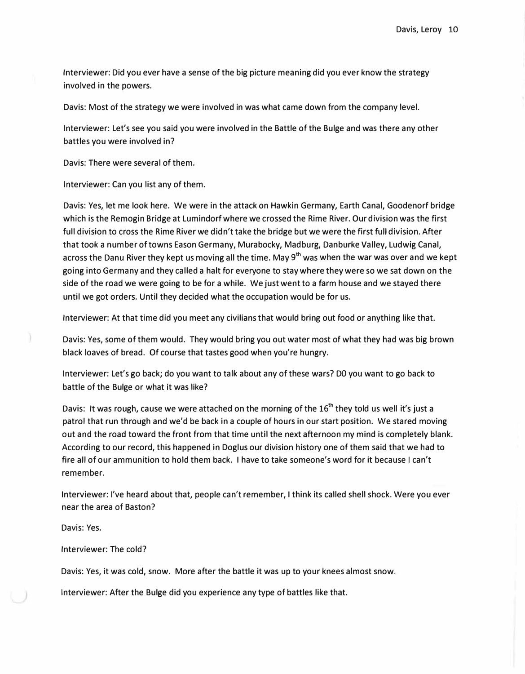Interviewer: Did you ever have a sense of the big picture meaning did you ever know the strategy involved in the powers.

Davis: Most of the strategy we were involved in was what came down from the company level.

Interviewer: Let's see you said you were involved in the Battle of the Bulge and was there any other battles you were involved in?

Davis: There were several of them.

Interviewer: Can you list any of them.

Davis: Yes, let me look here. We were in the attack on Hawkin Germany, Earth Canal, Goodenorf bridge which is the Remogin Bridge at Lumindorf where we crossed the Rime River. Our division was the first full division to cross the Rime River we didn't take the bridge but we were the first full division. After that took a number of towns Eason Germany, Murabocky, Madburg, Danburke Valley, Ludwig Canal, across the Danu River they kept us moving all the time. May 9<sup>th</sup> was when the war was over and we kept going into Germany and they called a halt for everyone to stay where they were so we sat down on the side of the road we were going to be for a while. We just went to a farm house and we stayed there until we got orders. Until they decided what the occupation would be for us.

Interviewer: At that time did you meet any civilians that would bring out food or anything like that.

Davis: Yes, some of them would. They would bring you out water most of what they had was big brown black loaves of bread. Of course that tastes good when you're hungry.

Interviewer: Let's go back; do you want to talk about any of these wars? DO you want to go back to battle of the Bulge or what it was like?

Davis: It was rough, cause we were attached on the morning of the  $16<sup>th</sup>$  they told us well it's just a patrol that run through and we'd be back in a couple of hours in our start position. We stared moving out and the road toward the front from that time until the next afternoon my mind is completely blank. According to our record, this happened in Doglus our division history one of them said that we had to fire all of our ammunition to hold them back. I have to take someone's word for it because I can't remember.

Interviewer: I've heard about that, people can't remember, I think its called shell shock. Were you ever near the area of Baston?

Davis: Yes.

Interviewer: The cold?

Davis: Yes, it was cold, snow. More after the battle it was up to your knees almost snow.

Interviewer: After the Bulge did you experience any type of battles like that.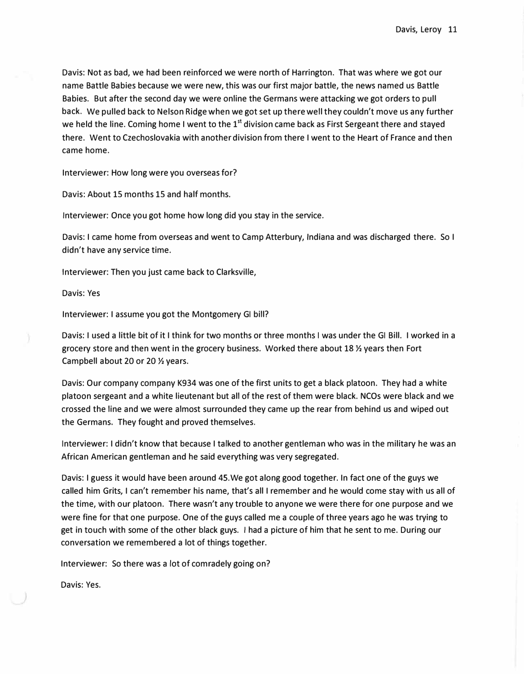Davis: Not as bad, we had been reinforced we were north of Harrington. That was where we got our name Battle Babies because we were new, this was our first major battle, the news named us Battle Babies. But after the second day we were online the Germans were attacking we got orders to pull back. We pulled back to Nelson Ridge when we got set up there well they couldn't move us any further we held the line. Coming home I went to the 1<sup>st</sup> division came back as First Sergeant there and stayed there. Went to Czechoslovakia with another division from there I went to the Heart of France and then came home.

Interviewer: How long were you overseas for?

Davis: About 15 months 15 and half months.

Interviewer: Once you got home how long did you stay in the service.

Davis: I came home from overseas and went to Camp Atterbury, Indiana and was discharged there. So I didn't have any service time.

Interviewer: Then you just came back to Clarksville,

Davis: Yes

Interviewer: I assume you got the Montgomery GI bill?

Davis: I used a little bit of it I think for two months or three months I was under the GI Bill. I worked in a grocery store and then went in the grocery business. Worked there about 18 % years then Fort Campbell about 20 or 20 Yz years.

Davis: Our company company K934 was one of the first units to get a black platoon. They had a white platoon sergeant and a white lieutenant but all of the rest of them were black. NCOs were black and we crossed the line and we were almost surrounded they came up the rear from behind us and wiped out the Germans. They fought and proved themselves.

Interviewer: I didn't know that because I talked to another gentleman who was in the military he was an African American gentleman and he said everything was very segregated.

Davis: I guess it would have been around 45. We got along good together. In fact one of the guys we called him Grits, I can't remember his name, that's all I remember and he would come stay with us all of the time, with our platoon. There wasn't any trouble to anyone we were there for one purpose and we were fine for that one purpose. One of the guys called me a couple of three years ago he was trying to get in touch with some of the other black guys. I had a picture of him that he sent to me. During our conversation we remembered a lot of things together.

Interviewer: So there was a lot of comradely going on?

Davis: Yes.